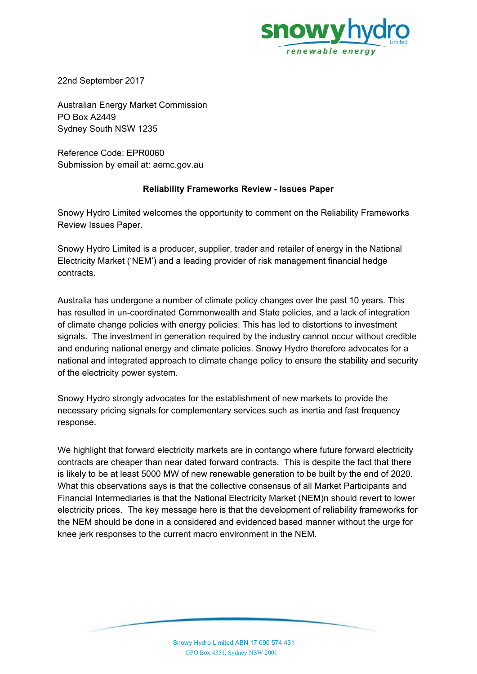

22nd September 2017

Australian Energy Market Commission PO Box A2449 Sydney South NSW 1235

Reference Code: EPR0060 Submission by email at: aemc.gov.au

### **Reliability Frameworks Review - Issues Paper**

Snowy Hydro Limited welcomes the opportunity to comment on the Reliability Frameworks Review Issues Paper.

Snowy Hydro Limited is a producer, supplier, trader and retailer of energy in the National Electricity Market ('NEM') and a leading provider of risk management financial hedge contracts.

Australia has undergone a number of climate policy changes over the past 10 years. This has resulted in un-coordinated Commonwealth and State policies, and a lack of integration of climate change policies with energy policies. This has led to distortions to investment signals. The investment in generation required by the industry cannot occur without credible and enduring national energy and climate policies. Snowy Hydro therefore advocates for a national and integrated approach to climate change policy to ensure the stability and security of the electricity power system.

Snowy Hydro strongly advocates for the establishment of new markets to provide the necessary pricing signals for complementary services such as inertia and fast frequency response.

We highlight that forward electricity markets are in contango where future forward electricity contracts are cheaper than near dated forward contracts. This is despite the fact that there is likely to be at least 5000 MW of new renewable generation to be built by the end of 2020. What this observations says is that the collective consensus of all Market Participants and Financial Intermediaries is that the National Electricity Market (NEM)n should revert to lower electricity prices. The key message here is that the development of reliability frameworks for the NEM should be done in a considered and evidenced based manner without the urge for knee jerk responses to the current macro environment in the NEM.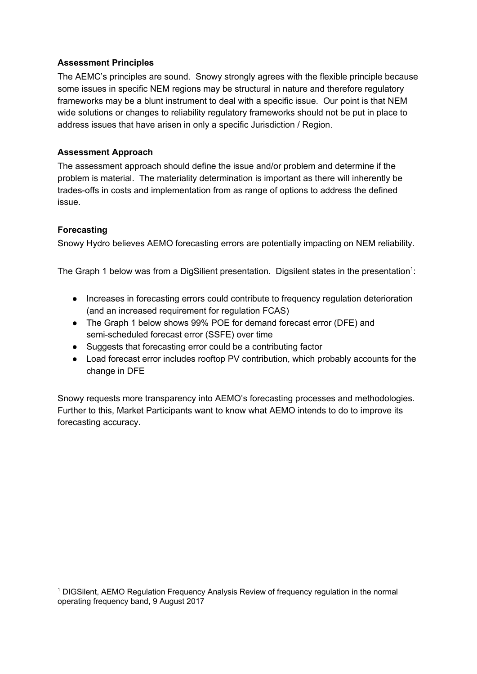## **Assessment Principles**

The AEMC's principles are sound. Snowy strongly agrees with the flexible principle because some issues in specific NEM regions may be structural in nature and therefore regulatory frameworks may be a blunt instrument to deal with a specific issue. Our point is that NEM wide solutions or changes to reliability regulatory frameworks should not be put in place to address issues that have arisen in only a specific Jurisdiction / Region.

## **Assessment Approach**

The assessment approach should define the issue and/or problem and determine if the problem is material. The materiality determination is important as there will inherently be trades-offs in costs and implementation from as range of options to address the defined issue.

## **Forecasting**

Snowy Hydro believes AEMO forecasting errors are potentially impacting on NEM reliability.

The Graph 1 below was from a DigSilient presentation. Digsilent states in the presentation<sup>1</sup>:

- Increases in forecasting errors could contribute to frequency regulation deterioration (and an increased requirement for regulation FCAS)
- The Graph 1 below shows 99% POE for demand forecast error (DFE) and semi-scheduled forecast error (SSFE) over time
- Suggests that forecasting error could be a contributing factor
- Load forecast error includes rooftop PV contribution, which probably accounts for the change in DFE

Snowy requests more transparency into AEMO's forecasting processes and methodologies. Further to this, Market Participants want to know what AEMO intends to do to improve its forecasting accuracy.

<sup>1</sup> DIGSilent, AEMO Regulation Frequency Analysis Review of frequency regulation in the normal operating frequency band, 9 August 2017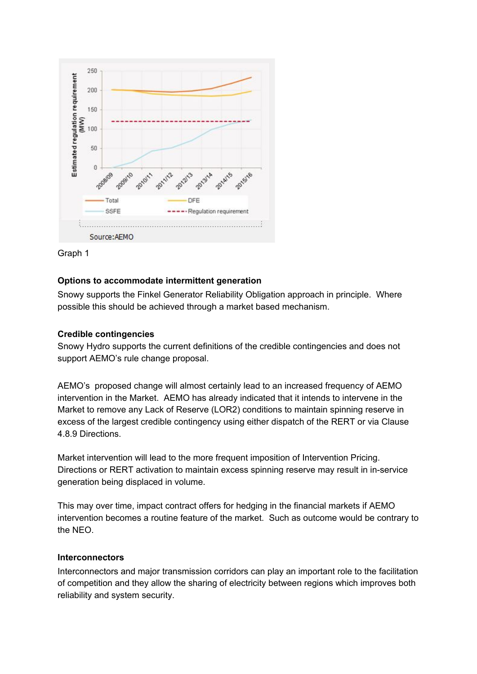



#### **Options to accommodate intermittent generation**

Snowy supports the Finkel Generator Reliability Obligation approach in principle. Where possible this should be achieved through a market based mechanism.

#### **Credible contingencies**

Snowy Hydro supports the current definitions of the credible contingencies and does not support AEMO's rule change proposal.

AEMO's proposed change will almost certainly lead to an increased frequency of AEMO intervention in the Market. AEMO has already indicated that it intends to intervene in the Market to remove any Lack of Reserve (LOR2) conditions to maintain spinning reserve in excess of the largest credible contingency using either dispatch of the RERT or via Clause 4.8.9 Directions.

Market intervention will lead to the more frequent imposition of Intervention Pricing. Directions or RERT activation to maintain excess spinning reserve may result in in-service generation being displaced in volume.

This may over time, impact contract offers for hedging in the financial markets if AEMO intervention becomes a routine feature of the market. Such as outcome would be contrary to the NEO.

#### **Interconnectors**

Interconnectors and major transmission corridors can play an important role to the facilitation of competition and they allow the sharing of electricity between regions which improves both reliability and system security.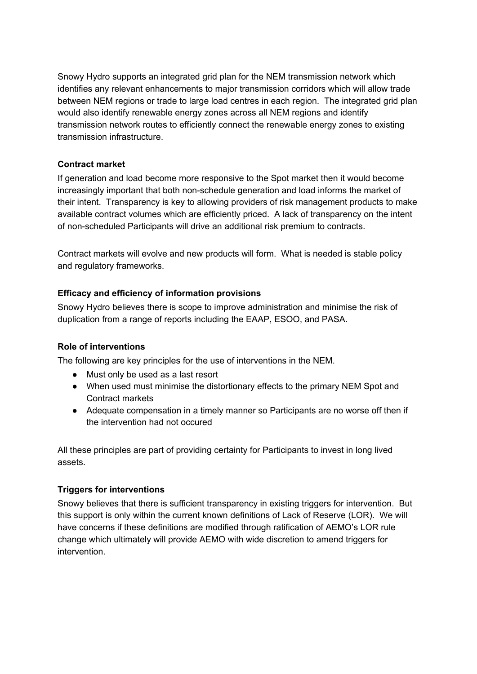Snowy Hydro supports an integrated grid plan for the NEM transmission network which identifies any relevant enhancements to major transmission corridors which will allow trade between NEM regions or trade to large load centres in each region. The integrated grid plan would also identify renewable energy zones across all NEM regions and identify transmission network routes to efficiently connect the renewable energy zones to existing transmission infrastructure.

## **Contract market**

If generation and load become more responsive to the Spot market then it would become increasingly important that both non-schedule generation and load informs the market of their intent. Transparency is key to allowing providers of risk management products to make available contract volumes which are efficiently priced. A lack of transparency on the intent of non-scheduled Participants will drive an additional risk premium to contracts.

Contract markets will evolve and new products will form. What is needed is stable policy and regulatory frameworks.

# **Efficacy and efficiency of information provisions**

Snowy Hydro believes there is scope to improve administration and minimise the risk of duplication from a range of reports including the EAAP, ESOO, and PASA.

## **Role of interventions**

The following are key principles for the use of interventions in the NEM.

- Must only be used as a last resort
- When used must minimise the distortionary effects to the primary NEM Spot and Contract markets
- Adequate compensation in a timely manner so Participants are no worse off then if the intervention had not occured

All these principles are part of providing certainty for Participants to invest in long lived assets.

## **Triggers for interventions**

Snowy believes that there is sufficient transparency in existing triggers for intervention. But this support is only within the current known definitions of Lack of Reserve (LOR). We will have concerns if these definitions are modified through ratification of AEMO's LOR rule change which ultimately will provide AEMO with wide discretion to amend triggers for intervention.